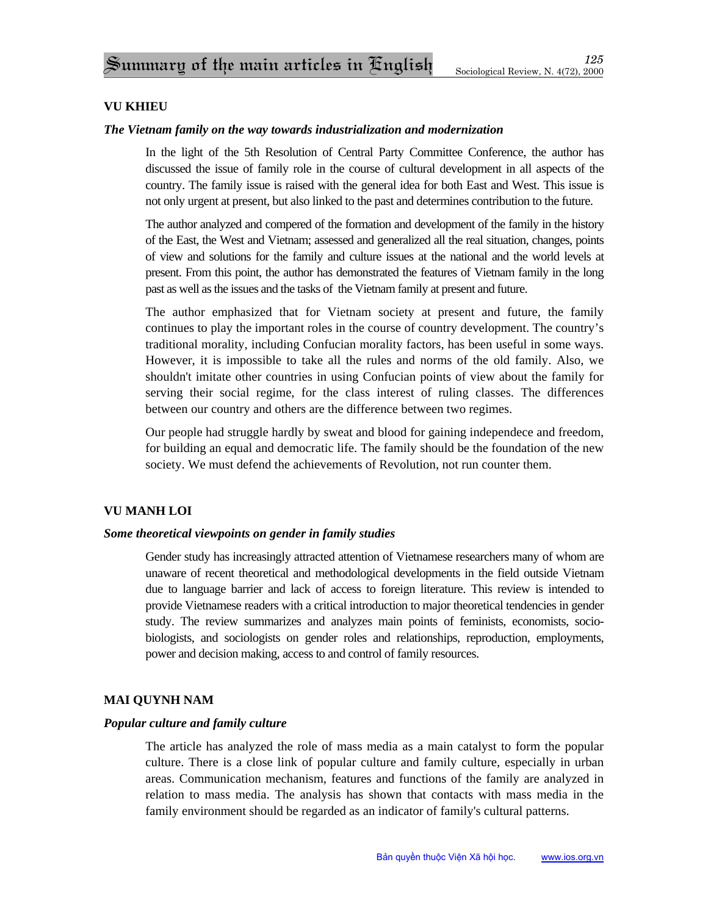## **VU KHIEU**

#### *The Vietnam family on the way towards industrialization and modernization*

In the light of the 5th Resolution of Central Party Committee Conference, the author has discussed the issue of family role in the course of cultural development in all aspects of the country. The family issue is raised with the general idea for both East and West. This issue is not only urgent at present, but also linked to the past and determines contribution to the future.

The author analyzed and compered of the formation and development of the family in the history of the East, the West and Vietnam; assessed and generalized all the real situation, changes, points of view and solutions for the family and culture issues at the national and the world levels at present. From this point, the author has demonstrated the features of Vietnam family in the long past as well as the issues and the tasks of the Vietnam family at present and future.

The author emphasized that for Vietnam society at present and future, the family continues to play the important roles in the course of country development. The country's traditional morality, including Confucian morality factors, has been useful in some ways. However, it is impossible to take all the rules and norms of the old family. Also, we shouldn't imitate other countries in using Confucian points of view about the family for serving their social regime, for the class interest of ruling classes. The differences between our country and others are the difference between two regimes.

Our people had struggle hardly by sweat and blood for gaining independece and freedom, for building an equal and democratic life. The family should be the foundation of the new society. We must defend the achievements of Revolution, not run counter them.

## **VU MANH LOI**

#### *Some theoretical viewpoints on gender in family studies*

Gender study has increasingly attracted attention of Vietnamese researchers many of whom are unaware of recent theoretical and methodological developments in the field outside Vietnam due to language barrier and lack of access to foreign literature. This review is intended to provide Vietnamese readers with a critical introduction to major theoretical tendencies in gender study. The review summarizes and analyzes main points of feminists, economists, sociobiologists, and sociologists on gender roles and relationships, reproduction, employments, power and decision making, access to and control of family resources.

## **MAI QUYNH NAM**

## *Popular culture and family culture*

The article has analyzed the role of mass media as a main catalyst to form the popular culture. There is a close link of popular culture and family culture, especially in urban areas. Communication mechanism, features and functions of the family are analyzed in relation to mass media. The analysis has shown that contacts with mass media in the family environment should be regarded as an indicator of family's cultural patterns.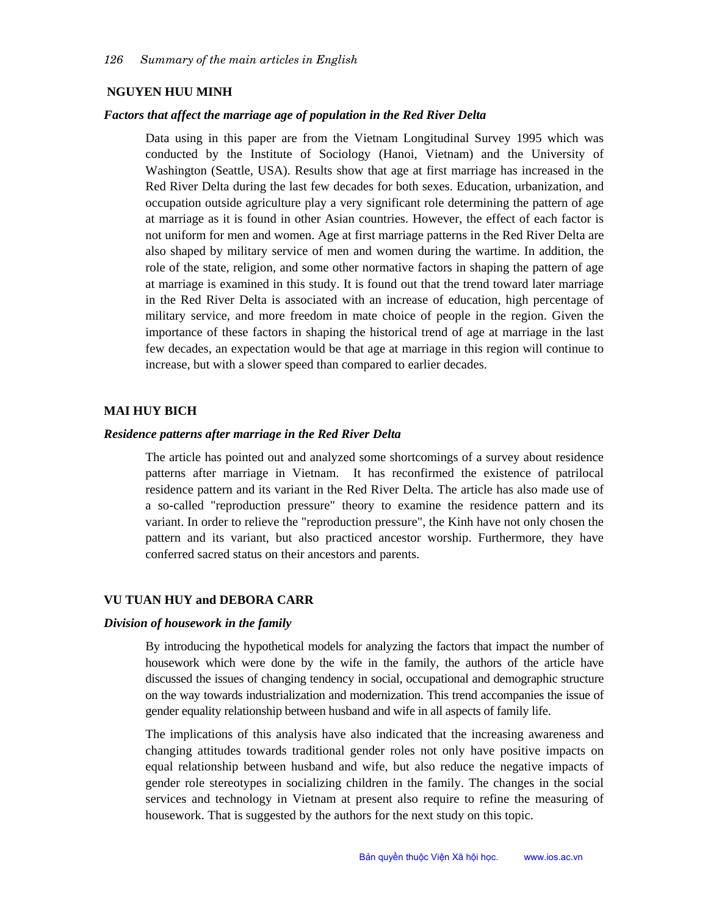### **NGUYEN HUU MINH**

#### *Factors that affect the marriage age of population in the Red River Delta*

Data using in this paper are from the Vietnam Longitudinal Survey 1995 which was conducted by the Institute of Sociology (Hanoi, Vietnam) and the University of Washington (Seattle, USA). Results show that age at first marriage has increased in the Red River Delta during the last few decades for both sexes. Education, urbanization, and occupation outside agriculture play a very significant role determining the pattern of age at marriage as it is found in other Asian countries. However, the effect of each factor is not uniform for men and women. Age at first marriage patterns in the Red River Delta are also shaped by military service of men and women during the wartime. In addition, the role of the state, religion, and some other normative factors in shaping the pattern of age at marriage is examined in this study. It is found out that the trend toward later marriage in the Red River Delta is associated with an increase of education, high percentage of military service, and more freedom in mate choice of people in the region. Given the importance of these factors in shaping the historical trend of age at marriage in the last few decades, an expectation would be that age at marriage in this region will continue to increase, but with a slower speed than compared to earlier decades.

#### **MAI HUY BICH**

#### *Residence patterns after marriage in the Red River Delta*

The article has pointed out and analyzed some shortcomings of a survey about residence patterns after marriage in Vietnam. It has reconfirmed the existence of patrilocal residence pattern and its variant in the Red River Delta. The article has also made use of a so-called "reproduction pressure" theory to examine the residence pattern and its variant. In order to relieve the "reproduction pressure", the Kinh have not only chosen the pattern and its variant, but also practiced ancestor worship. Furthermore, they have conferred sacred status on their ancestors and parents.

#### **VU TUAN HUY and DEBORA CARR**

#### *Division of housework in the family*

By introducing the hypothetical models for analyzing the factors that impact the number of housework which were done by the wife in the family, the authors of the article have discussed the issues of changing tendency in social, occupational and demographic structure on the way towards industrialization and modernization. This trend accompanies the issue of gender equality relationship between husband and wife in all aspects of family life.

The implications of this analysis have also indicated that the increasing awareness and changing attitudes towards traditional gender roles not only have positive impacts on equal relationship between husband and wife, but also reduce the negative impacts of gender role stereotypes in socializing children in the family. The changes in the social services and technology in Vietnam at present also require to refine the measuring of housework. That is suggested by the authors for the next study on this topic.